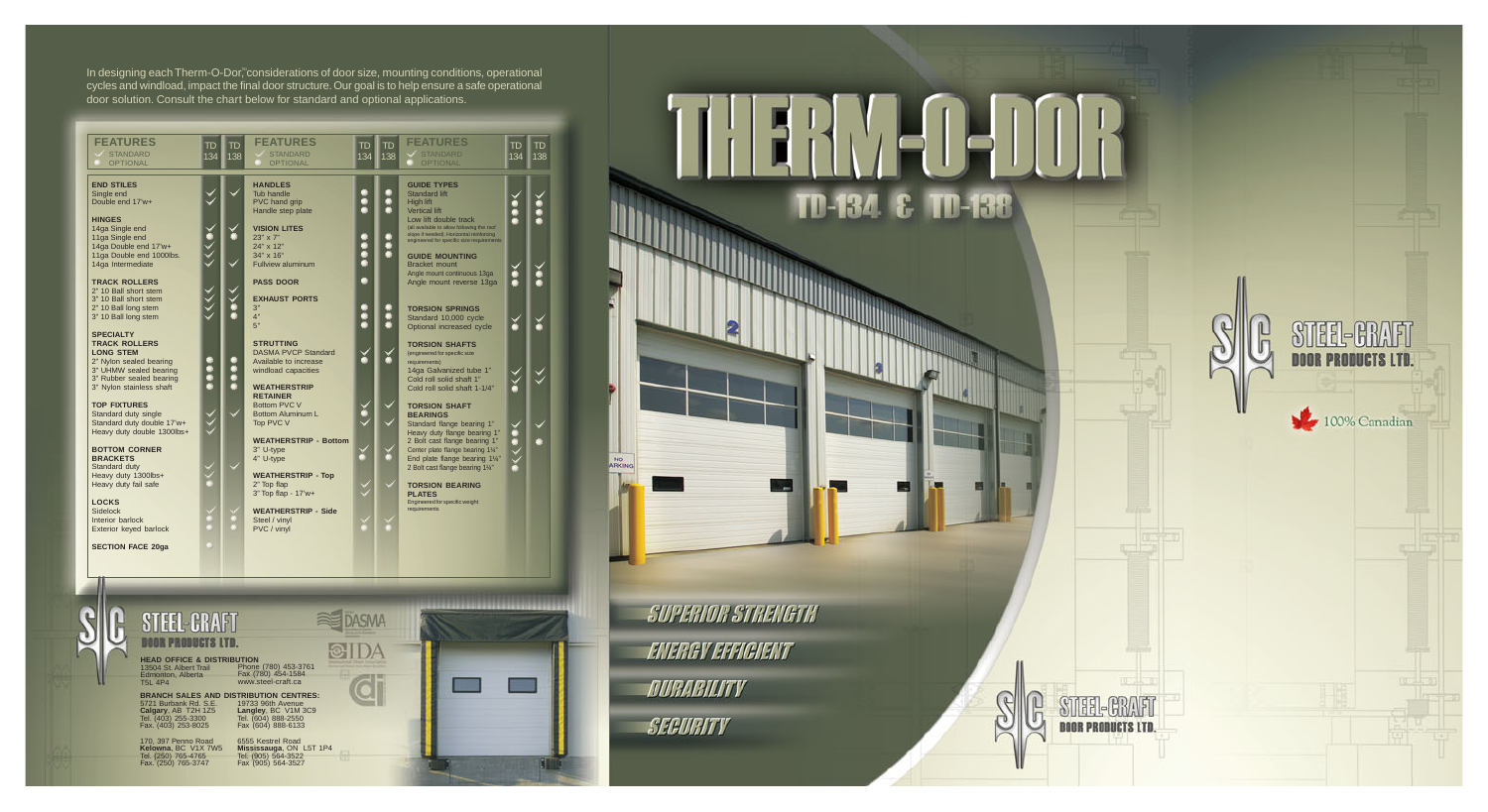

In designing each Therm-O-Dor,"considerations of door size, mounting conditions, operational cycles and windload, impact the final door structure. Our goal is to help ensure a safe operational door solution. Consult the chart below for standard and optional applications.

| <b>FEATURES</b><br><b>STANDARD</b><br><b>OPTIONAL</b>                                                                                                                                                                                                                                                          | TD<br>134 | TD<br>138 | <b>FEATURES</b><br><b>STANDARD</b><br><b>OPTIONAL</b>                                                                                                                                                                                                                             | TD<br>134   | TD<br>  138 | <b>FEATURES</b><br>STANDARD<br><b>OPTIONAL</b>                                                                                                                                                                                                  | TD<br>134 | TD<br>138 |
|----------------------------------------------------------------------------------------------------------------------------------------------------------------------------------------------------------------------------------------------------------------------------------------------------------------|-----------|-----------|-----------------------------------------------------------------------------------------------------------------------------------------------------------------------------------------------------------------------------------------------------------------------------------|-------------|-------------|-------------------------------------------------------------------------------------------------------------------------------------------------------------------------------------------------------------------------------------------------|-----------|-----------|
| <b>END STILES</b><br>Single end<br>Double end 17'w+<br><b>HINGES</b><br>14ga Single end<br>11ga Single end<br>14ga Double end 17'w+                                                                                                                                                                            |           |           | <b>HANDLES</b><br><b>Tub handle</b><br>PVC hand grip<br>Handle step plate<br><b>VISION LITES</b><br>23" x 7"<br>24" x 12"                                                                                                                                                         |             | ۸           | <b>GUIDE TYPES</b><br><b>Standard lift</b><br>High lift<br><b>Vertical lift</b><br>Low lift double track<br>(all available to allow following the roof<br>slope if needed). Horizontal reinforcing<br>engineered for specific size requirements |           |           |
| 11ga Double end 1000lbs.<br>14ga Intermediate<br><b>TRACK ROLLERS</b><br>2" 10 Ball short stem<br>3" 10 Ball short stem                                                                                                                                                                                        |           |           | 34" x 16"<br><b>Fullview aluminum</b><br><b>PASS DOOR</b><br><b>EXHAUST PORTS</b>                                                                                                                                                                                                 | Ô<br>â<br>۸ |             | <b>GUIDE MOUNTING</b><br><b>Bracket mount</b><br>Angle mount continuous 13ga<br>Angle mount reverse 13ga                                                                                                                                        |           |           |
| 2" 10 Ball long stem<br>3" 10 Ball long stem<br><b>SPECIALTY</b><br><b>TRACK ROLLERS</b><br><b>LONG STEM</b><br>2" Nylon sealed bearing                                                                                                                                                                        | ₩         | O         | 3"<br>4"<br>5"<br><b>STRUTTING</b><br><b>DASMA PVCP Standard</b><br>Available to increase                                                                                                                                                                                         |             | ۰<br>û      | <b>TORSION SPRINGS</b><br>Standard 10,000 cycle<br>Optional increased cycle<br><b>TORSION SHAFTS</b><br>(engineered for specific size                                                                                                           |           |           |
| 3" UHMW sealed bearing<br>3" Rubber sealed bearing<br>3" Nylon stainless shaft<br><b>TOP FIXTURES</b><br>Standard duty single                                                                                                                                                                                  |           | ۸         | windload capacities<br><b>WEATHERSTRIP</b><br><b>RETAINER</b><br>Bottom PVC V<br><b>Bottom Aluminum L</b>                                                                                                                                                                         |             |             | requirements)<br>14ga Galvanized tube 1"<br>Cold roll solid shaft 1"<br>Cold roll solid shaft 1-1/4"<br><b>TORSION SHAFT</b><br><b>BEARINGS</b>                                                                                                 |           |           |
| Standard duty double 17'w+<br>Heavy duty double 1300lbs+<br><b>BOTTOM CORNER</b><br><b>BRACKETS</b><br>Standard duty                                                                                                                                                                                           |           |           | Top PVC V<br><b>WEATHERSTRIP - Bottom</b><br>3" U-type<br>4" U-type                                                                                                                                                                                                               |             |             | Standard flange bearing 1"<br>Heavy duty flange bearing 1"<br>2 Bolt cast flange bearing 1"<br>Center plate flange bearing 11/4"<br>End plate flange bearing 11/4"<br>2 Bolt cast flange bearing 11/4"                                          |           |           |
| Heavy duty 1300lbs+<br>Heavy duty fail safe<br><b>LOCKS</b><br><b>Sidelock</b><br>Interior barlock<br>Exterior keyed barlock                                                                                                                                                                                   |           |           | <b>WEATHERSTRIP - Top</b><br>2" Top flap<br>3" Top flap - 17'w+<br><b>WEATHERSTRIP - Side</b><br>Steel / vinyl<br>PVC / vinyl                                                                                                                                                     |             |             | <b>TORSION BEARING</b><br><b>PLATES</b><br>Engineered for specific weight<br>requirements                                                                                                                                                       |           |           |
| <b>SECTION FACE 20ga</b>                                                                                                                                                                                                                                                                                       |           |           |                                                                                                                                                                                                                                                                                   |             |             |                                                                                                                                                                                                                                                 |           |           |
| STEEL-CRAFT<br>Beer prebects ltd.<br><b>HEAD OFFICE &amp; DISTRIBUTION</b><br>13504 St. Albert Trail<br>Edmonton, Alberta<br><b>T5L 4P4</b><br>5721 Burbank Rd. S.E.<br>Calgary, AB T2H 1Z5<br>Tel. (403) 255-3300<br>Fax. (403) 253-8025<br>170, 397 Penno Road<br>Kelowna, BC V1X 7W5<br>Tel. (250) 765-4765 |           |           | Phone (780) 453-3761<br>Fax (780) 454-1584<br>www.steel-craft.ca<br><b>BRANCH SALES AND DISTRIBUTION CENTRES:</b><br>19733 96th Avenue<br>Langley, BC V1M 3C9<br>Tel. (604) 888-2550<br>Fax (604) 888-6133<br>6555 Kestrel Road<br>Mississauga, ON L5T 1P4<br>Tel. (905) 564-3522 |             |             |                                                                                                                                                                                                                                                 |           |           |